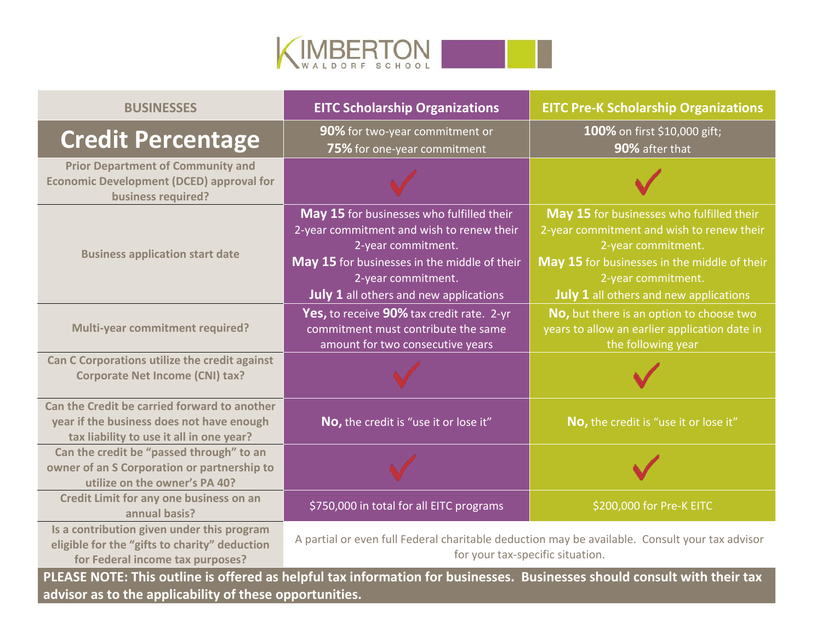

| <b>BUSINESSES</b>                                                                                                                     | <b>EITC Scholarship Organizations</b>                                                                                                                                                                                               | <b>EITC Pre-K Scholarship Organizations</b>                                                                                                                                                                                         |
|---------------------------------------------------------------------------------------------------------------------------------------|-------------------------------------------------------------------------------------------------------------------------------------------------------------------------------------------------------------------------------------|-------------------------------------------------------------------------------------------------------------------------------------------------------------------------------------------------------------------------------------|
| <b>Credit Percentage</b>                                                                                                              | 90% for two-year commitment or<br>75% for one-year commitment                                                                                                                                                                       | 100% on first \$10,000 gift;<br>90% after that                                                                                                                                                                                      |
| <b>Prior Department of Community and</b><br><b>Economic Development (DCED) approval for</b><br>business required?                     |                                                                                                                                                                                                                                     |                                                                                                                                                                                                                                     |
| <b>Business application start date</b>                                                                                                | May 15 for businesses who fulfilled their<br>2-year commitment and wish to renew their<br>2-year commitment.<br>May 15 for businesses in the middle of their<br>2-year commitment.<br><b>July 1</b> all others and new applications | May 15 for businesses who fulfilled their<br>2-year commitment and wish to renew their<br>2-year commitment.<br>May 15 for businesses in the middle of their<br>2-year commitment.<br><b>July 1</b> all others and new applications |
| <b>Multi-year commitment required?</b>                                                                                                | Yes, to receive 90% tax credit rate. 2-yr<br>commitment must contribute the same<br>amount for two consecutive years                                                                                                                | No, but there is an option to choose two<br>years to allow an earlier application date in<br>the following year                                                                                                                     |
| Can C Corporations utilize the credit against<br><b>Corporate Net Income (CNI) tax?</b>                                               |                                                                                                                                                                                                                                     |                                                                                                                                                                                                                                     |
| Can the Credit be carried forward to another<br>year if the business does not have enough<br>tax liability to use it all in one year? | No, the credit is "use it or lose it"                                                                                                                                                                                               | No, the credit is "use it or lose it"                                                                                                                                                                                               |
| Can the credit be "passed through" to an<br>owner of an S Corporation or partnership to<br>utilize on the owner's PA 40?              |                                                                                                                                                                                                                                     |                                                                                                                                                                                                                                     |
| Credit Limit for any one business on an<br>annual basis?                                                                              | \$750,000 in total for all EITC programs                                                                                                                                                                                            | \$200,000 for Pre-K EITC                                                                                                                                                                                                            |
| Is a contribution given under this program<br>eligible for the "gifts to charity" deduction<br>for Federal income tax purposes?       | A partial or even full Federal charitable deduction may be available. Consult your tax advisor<br>for your tax-specific situation.                                                                                                  |                                                                                                                                                                                                                                     |

**PLEASE NOTE: This outline is offered as helpful tax information for businesses. Businesses should consult with their tax advisor as to the applicability of these opportunities.**